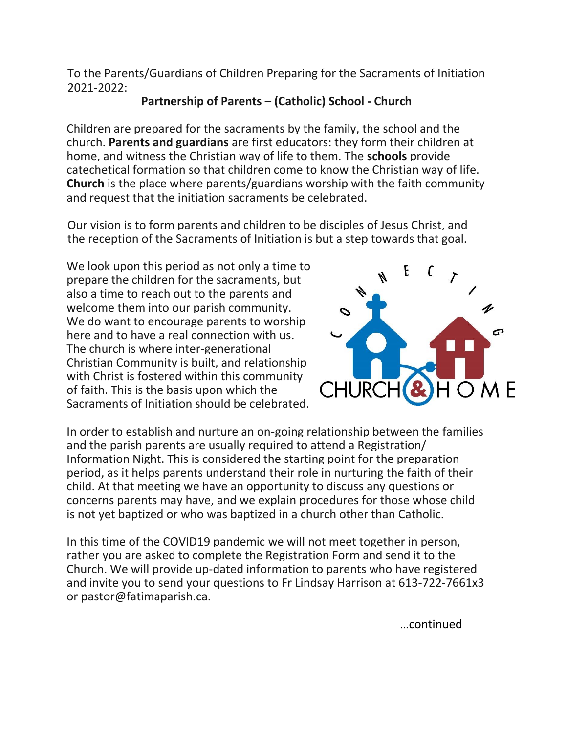To the Parents/Guardians of Children Preparing for the Sacraments of Initiation 2021-2022:

## **Partnership of Parents – (Catholic) School - Church**

Children are prepared for the sacraments by the family, the school and the church. **Parents and guardians** are first educators: they form their children at home, and witness the Christian way of life to them. The **schools** provide catechetical formation so that children come to know the Christian way of life. **Church** is the place where parents/guardians worship with the faith community and request that the initiation sacraments be celebrated.

Our vision is to form parents and children to be disciples of Jesus Christ, and the reception of the Sacraments of Initiation is but a step towards that goal.

We look upon this period as not only a time to prepare the children for the sacraments, but also a time to reach out to the parents and welcome them into our parish community. We do want to encourage parents to worship here and to have a real connection with us. The church is where inter-generational Christian Community is built, and relationship with Christ is fostered within this community of faith. This is the basis upon which the Sacraments of Initiation should be celebrated.



In order to establish and nurture an on-going relationship between the families and the parish parents are usually required to attend a Registration/ Information Night. This is considered the starting point for the preparation period, as it helps parents understand their role in nurturing the faith of their child. At that meeting we have an opportunity to discuss any questions or concerns parents may have, and we explain procedures for those whose child is not yet baptized or who was baptized in a church other than Catholic.

In this time of the COVID19 pandemic we will not meet together in person, rather you are asked to complete the Registration Form and send it to the Church. We will provide up-dated information to parents who have registered and invite you to send your questions to Fr Lindsay Harrison at 613-722-7661x3 or pastor@fatimaparish.ca.

…continued